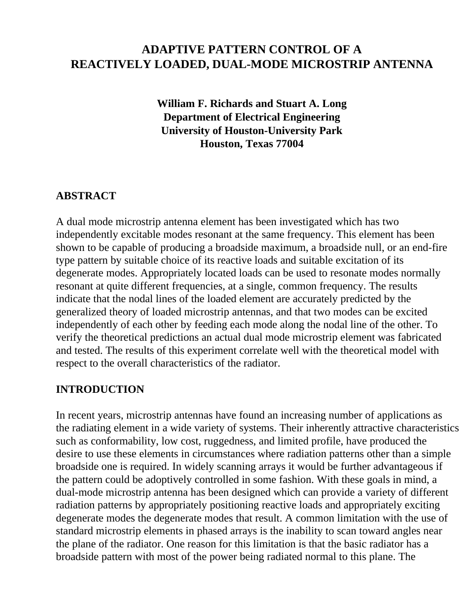# **ADAPTIVE PATTERN CONTROL OF A REACTIVELY LOADED, DUAL-MODE MICROSTRIP ANTENNA**

**William F. Richards and Stuart A. Long Department of Electrical Engineering University of Houston-University Park Houston, Texas 77004**

### **ABSTRACT**

A dual mode microstrip antenna element has been investigated which has two independently excitable modes resonant at the same frequency. This element has been shown to be capable of producing a broadside maximum, a broadside null, or an end-fire type pattern by suitable choice of its reactive loads and suitable excitation of its degenerate modes. Appropriately located loads can be used to resonate modes normally resonant at quite different frequencies, at a single, common frequency. The results indicate that the nodal lines of the loaded element are accurately predicted by the generalized theory of loaded microstrip antennas, and that two modes can be excited independently of each other by feeding each mode along the nodal line of the other. To verify the theoretical predictions an actual dual mode microstrip element was fabricated and tested. The results of this experiment correlate well with the theoretical model with respect to the overall characteristics of the radiator.

### **INTRODUCTION**

In recent years, microstrip antennas have found an increasing number of applications as the radiating element in a wide variety of systems. Their inherently attractive characteristics such as conformability, low cost, ruggedness, and limited profile, have produced the desire to use these elements in circumstances where radiation patterns other than a simple broadside one is required. In widely scanning arrays it would be further advantageous if the pattern could be adoptively controlled in some fashion. With these goals in mind, a dual-mode microstrip antenna has been designed which can provide a variety of different radiation patterns by appropriately positioning reactive loads and appropriately exciting degenerate modes the degenerate modes that result. A common limitation with the use of standard microstrip elements in phased arrays is the inability to scan toward angles near the plane of the radiator. One reason for this limitation is that the basic radiator has a broadside pattern with most of the power being radiated normal to this plane. The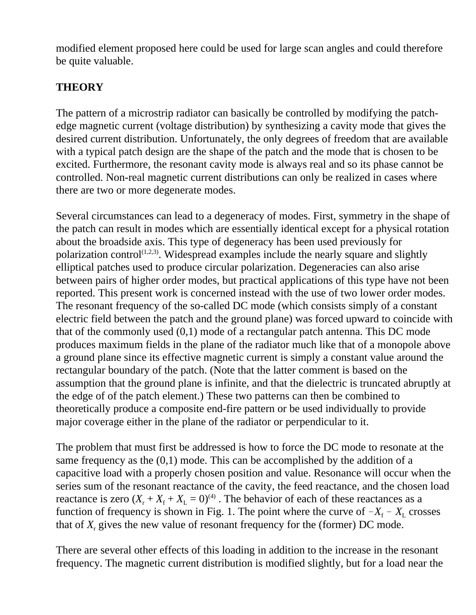modified element proposed here could be used for large scan angles and could therefore be quite valuable.

## **THEORY**

The pattern of a microstrip radiator can basically be controlled by modifying the patchedge magnetic current (voltage distribution) by synthesizing a cavity mode that gives the desired current distribution. Unfortunately, the only degrees of freedom that are available with a typical patch design are the shape of the patch and the mode that is chosen to be excited. Furthermore, the resonant cavity mode is always real and so its phase cannot be controlled. Non-real magnetic current distributions can only be realized in cases where there are two or more degenerate modes.

Several circumstances can lead to a degeneracy of modes. First, symmetry in the shape of the patch can result in modes which are essentially identical except for a physical rotation about the broadside axis. This type of degeneracy has been used previously for polarization control<sup> $(1,2,3)$ </sup>. Widespread examples include the nearly square and slightly elliptical patches used to produce circular polarization. Degeneracies can also arise between pairs of higher order modes, but practical applications of this type have not been reported. This present work is concerned instead with the use of two lower order modes. The resonant frequency of the so-called DC mode (which consists simply of a constant electric field between the patch and the ground plane) was forced upward to coincide with that of the commonly used (0,1) mode of a rectangular patch antenna. This DC mode produces maximum fields in the plane of the radiator much like that of a monopole above a ground plane since its effective magnetic current is simply a constant value around the rectangular boundary of the patch. (Note that the latter comment is based on the assumption that the ground plane is infinite, and that the dielectric is truncated abruptly at the edge of of the patch element.) These two patterns can then be combined to theoretically produce a composite end-fire pattern or be used individually to provide major coverage either in the plane of the radiator or perpendicular to it.

The problem that must first be addressed is how to force the DC mode to resonate at the same frequency as the (0,1) mode. This can be accomplished by the addition of a capacitive load with a properly chosen position and value. Resonance will occur when the series sum of the resonant reactance of the cavity, the feed reactance, and the chosen load reactance is zero  $(X_r + X_f + X_L = 0)^{(4)}$ . The behavior of each of these reactances as a function of frequency is shown in Fig. 1. The point where the curve of  $-X_f - X_i$  crosses that of  $X<sub>r</sub>$  gives the new value of resonant frequency for the (former) DC mode.

There are several other effects of this loading in addition to the increase in the resonant frequency. The magnetic current distribution is modified slightly, but for a load near the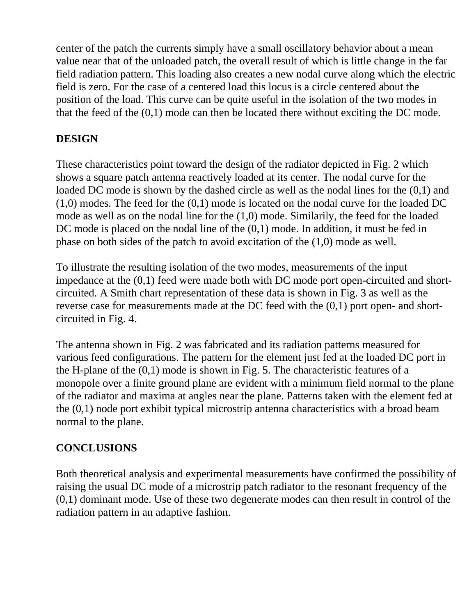center of the patch the currents simply have a small oscillatory behavior about a mean value near that of the unloaded patch, the overall result of which is little change in the far field radiation pattern. This loading also creates a new nodal curve along which the electric field is zero. For the case of a centered load this locus is a circle centered about the position of the load. This curve can be quite useful in the isolation of the two modes in that the feed of the (0,1) mode can then be located there without exciting the DC mode.

## **DESIGN**

These characteristics point toward the design of the radiator depicted in Fig. 2 which shows a square patch antenna reactively loaded at its center. The nodal curve for the loaded DC mode is shown by the dashed circle as well as the nodal lines for the  $(0,1)$  and  $(1,0)$  modes. The feed for the  $(0,1)$  mode is located on the nodal curve for the loaded DC mode as well as on the nodal line for the (1,0) mode. Similarily, the feed for the loaded DC mode is placed on the nodal line of the  $(0,1)$  mode. In addition, it must be fed in phase on both sides of the patch to avoid excitation of the (1,0) mode as well.

To illustrate the resulting isolation of the two modes, measurements of the input impedance at the (0,1) feed were made both with DC mode port open-circuited and shortcircuited. A Smith chart representation of these data is shown in Fig. 3 as well as the reverse case for measurements made at the DC feed with the (0,1) port open- and shortcircuited in Fig. 4.

The antenna shown in Fig. 2 was fabricated and its radiation patterns measured for various feed configurations. The pattern for the element just fed at the loaded DC port in the H-plane of the  $(0,1)$  mode is shown in Fig. 5. The characteristic features of a monopole over a finite ground plane are evident with a minimum field normal to the plane of the radiator and maxima at angles near the plane. Patterns taken with the element fed at the (0,1) node port exhibit typical microstrip antenna characteristics with a broad beam normal to the plane.

# **CONCLUSIONS**

Both theoretical analysis and experimental measurements have confirmed the possibility of raising the usual DC mode of a microstrip patch radiator to the resonant frequency of the (0,1) dominant mode. Use of these two degenerate modes can then result in control of the radiation pattern in an adaptive fashion.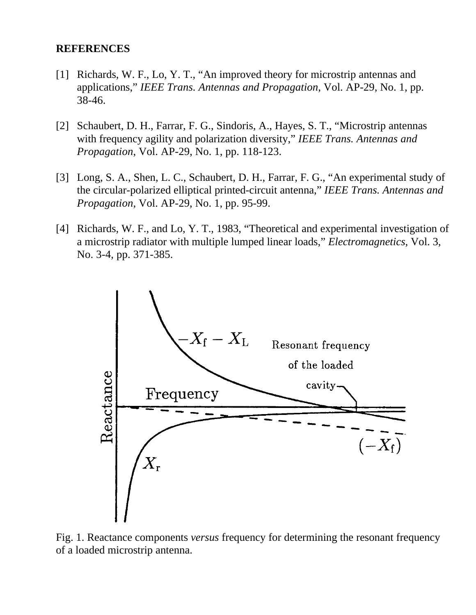#### **REFERENCES**

- [1] Richards, W. F., Lo, Y. T., "An improved theory for microstrip antennas and applications," *IEEE Trans. Antennas and Propagation*, Vol. AP-29, No. 1, pp. 38-46.
- [2] Schaubert, D. H., Farrar, F. G., Sindoris, A., Hayes, S. T., "Microstrip antennas with frequency agility and polarization diversity," *IEEE Trans. Antennas and Propagation*, Vol. AP-29, No. 1, pp. 118-123.
- [3] Long, S. A., Shen, L. C., Schaubert, D. H., Farrar, F. G., "An experimental study of the circular-polarized elliptical printed-circuit antenna," *IEEE Trans. Antennas and Propagation*, Vol. AP-29, No. 1, pp. 95-99.
- [4] Richards, W. F., and Lo, Y. T., 1983, "Theoretical and experimental investigation of a microstrip radiator with multiple lumped linear loads," *Electromagnetics*, Vol. 3, No. 3-4, pp. 371-385.



Fig. 1. Reactance components *versus* frequency for determining the resonant frequency of a loaded microstrip antenna.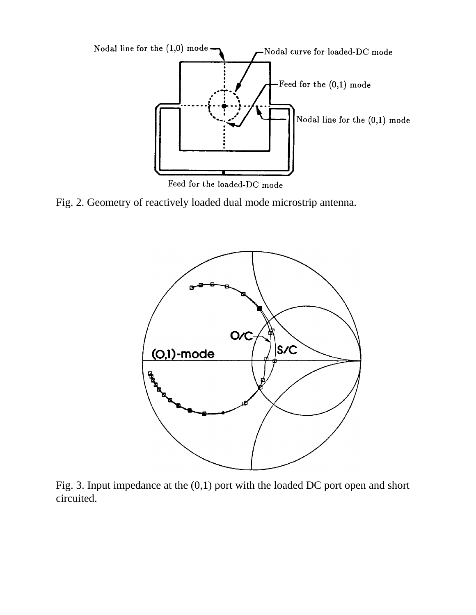

Feed for the loaded-DC mode

Fig. 2. Geometry of reactively loaded dual mode microstrip antenna.



Fig. 3. Input impedance at the (0,1) port with the loaded DC port open and short circuited.